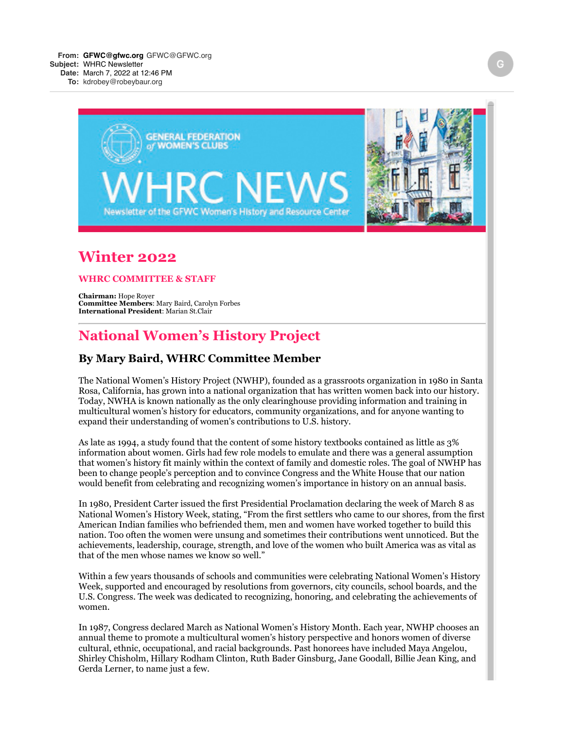

# **Winter 2022**

#### **WHRC COMMITTEE & STAFF**

**Chairman:** Hope Royer **Committee Members**: Mary Baird, Carolyn Forbes **International President**: Marian St.Clair

## **National Women's History Project**

### **By Mary Baird, WHRC Committee Member**

The National Women's History Project (NWHP), founded as a grassroots organization in 1980 in Santa Rosa, California, has grown into a national organization that has written women back into our history. Today, NWHA is known nationally as the only clearinghouse providing information and training in multicultural women's history for educators, community organizations, and for anyone wanting to expand their understanding of women's contributions to U.S. history.

As late as 1994, a study found that the content of some history textbooks contained as little as 3% information about women. Girls had few role models to emulate and there was a general assumption that women's history fit mainly within the context of family and domestic roles. The goal of NWHP has been to change people's perception and to convince Congress and the White House that our nation would benefit from celebrating and recognizing women's importance in history on an annual basis.

In 1980, President Carter issued the first Presidential Proclamation declaring the week of March 8 as National Women's History Week, stating, "From the first settlers who came to our shores, from the first American Indian families who befriended them, men and women have worked together to build this nation. Too often the women were unsung and sometimes their contributions went unnoticed. But the achievements, leadership, courage, strength, and love of the women who built America was as vital as that of the men whose names we know so well."

Within a few years thousands of schools and communities were celebrating National Women's History Week, supported and encouraged by resolutions from governors, city councils, school boards, and the U.S. Congress. The week was dedicated to recognizing, honoring, and celebrating the achievements of women.

In 1987, Congress declared March as National Women's History Month. Each year, NWHP chooses an annual theme to promote a multicultural women's history perspective and honors women of diverse cultural, ethnic, occupational, and racial backgrounds. Past honorees have included Maya Angelou, Shirley Chisholm, Hillary Rodham Clinton, Ruth Bader Ginsburg, Jane Goodall, Billie Jean King, and Gerda Lerner, to name just a few.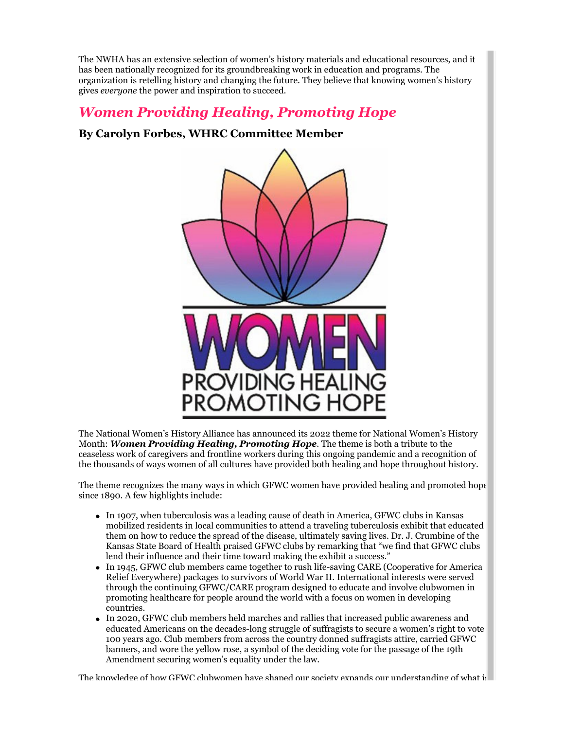The NWHA has an extensive selection of women's history materials and educational resources, and it has been nationally recognized for its groundbreaking work in education and programs. The organization is retelling history and changing the future. They believe that knowing women's history gives *everyone* the power and inspiration to succeed.

# *Women Providing Healing, Promoting Hope*

## **By Carolyn Forbes, WHRC Committee Member**



The National Women's History Alliance has announced its 2022 theme for National Women's History Month: *Women Providing Healing, Promoting Hope*. The theme is both a tribute to the ceaseless work of caregivers and frontline workers during this ongoing pandemic and a recognition of the thousands of ways women of all cultures have provided both healing and hope throughout history.

The theme recognizes the many ways in which GFWC women have provided healing and promoted hope since 1890. A few highlights include:

- In 1907, when tuberculosis was a leading cause of death in America, GFWC clubs in Kansas mobilized residents in local communities to attend a traveling tuberculosis exhibit that educated them on how to reduce the spread of the disease, ultimately saving lives. Dr. J. Crumbine of the Kansas State Board of Health praised GFWC clubs by remarking that "we find that GFWC clubs lend their influence and their time toward making the exhibit a success."
- In 1945, GFWC club members came together to rush life-saving CARE (Cooperative for America Relief Everywhere) packages to survivors of World War II. International interests were served through the continuing GFWC/CARE program designed to educate and involve clubwomen in promoting healthcare for people around the world with a focus on women in developing countries.
- In 2020, GFWC club members held marches and rallies that increased public awareness and  $\bullet$ educated Americans on the decades-long struggle of suffragists to secure a women's right to vote 100 years ago. Club members from across the country donned suffragists attire, carried GFWC banners, and wore the yellow rose, a symbol of the deciding vote for the passage of the 19th Amendment securing women's equality under the law.

The knowledge of how GFWC clubwomen have shaped our society expands our understanding of what is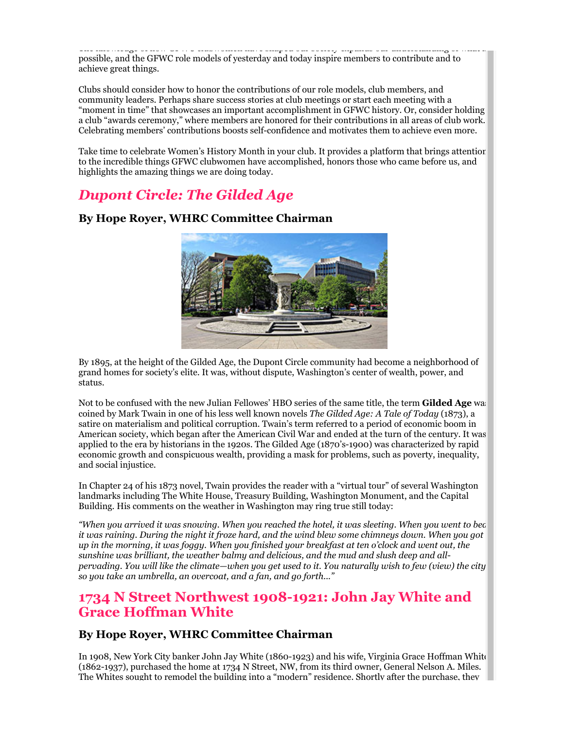The knowledge of how GFWC clubwomen have shaped our society expands our understanding of what is possible, and the GFWC role models of yesterday and today inspire members to contribute and to achieve great things.

Clubs should consider how to honor the contributions of our role models, club members, and community leaders. Perhaps share success stories at club meetings or start each meeting with a "moment in time" that showcases an important accomplishment in GFWC history. Or, consider holding a club "awards ceremony," where members are honored for their contributions in all areas of club work. Celebrating members' contributions boosts self-confidence and motivates them to achieve even more.

Take time to celebrate Women's History Month in your club. It provides a platform that brings attention to the incredible things GFWC clubwomen have accomplished, honors those who came before us, and highlights the amazing things we are doing today.

# *Dupont Circle: The Gilded Age*



### **By Hope Royer, WHRC Committee Chairman**

By 1895, at the height of the Gilded Age, the Dupont Circle community had become a neighborhood of grand homes for society's elite. It was, without dispute, Washington's center of wealth, power, and status.

Not to be confused with the new Julian Fellowes' HBO series of the same title, the term **Gilded Age** was coined by Mark Twain in one of his less well known novels *The Gilded Age: A Tale of Today* (1873), a satire on materialism and political corruption. Twain's term referred to a period of economic boom in American society, which began after the American Civil War and ended at the turn of the century. It was applied to the era by historians in the 1920s. The Gilded Age (1870's-1900) was characterized by rapid economic growth and conspicuous wealth, providing a mask for problems, such as poverty, inequality, and social injustice.

In Chapter 24 of his 1873 novel, Twain provides the reader with a "virtual tour" of several Washington landmarks including The White House, Treasury Building, Washington Monument, and the Capital Building. His comments on the weather in Washington may ring true still today:

*"When you arrived it was snowing. When you reached the hotel, it was sleeting. When you went to bed, it was raining. During the night it froze hard, and the wind blew some chimneys down. When you got up in the morning, it was foggy. When you finished your breakfast at ten o'clock and went out, the sunshine was brilliant, the weather balmy and delicious, and the mud and slush deep and allpervading. You will like the climate—when you get used to it. You naturally wish to few (view) the city: so you take an umbrella, an overcoat, and a fan, and go forth..."*

## **1734 N Street Northwest 1908-1921: John Jay White and Grace Hoffman White**

## **By Hope Royer, WHRC Committee Chairman**

In 1908, New York City banker John Jay White (1860-1923) and his wife, Virginia Grace Hoffman White (1862-1937), purchased the home at 1734 N Street, NW, from its third owner, General Nelson A. Miles. The Whites sought to remodel the building into a "modern" residence. Shortly after the purchase, they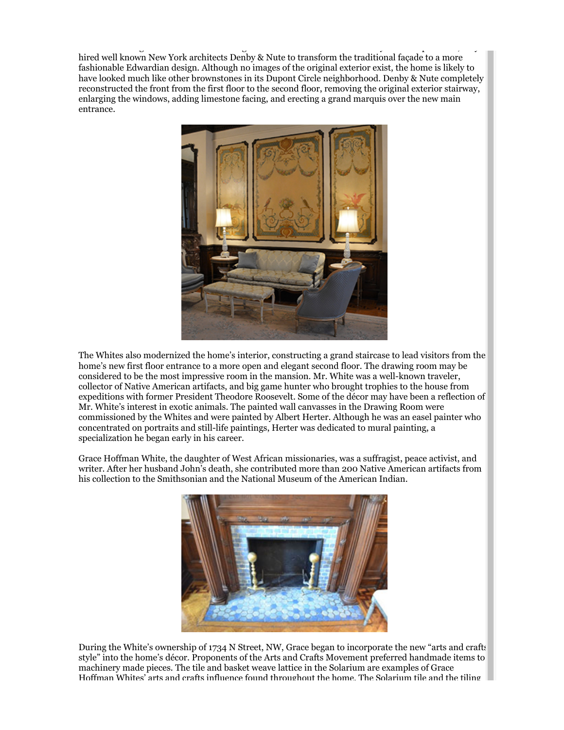The Whites sound to remodel the building into a modern theoretical theoretical theoretical they after the purch<br>Shortly after the purchase, they after the purchase, they after the purchase, they after the purchase, they af hired well known New York architects Denby & Nute to transform the traditional façade to a more fashionable Edwardian design. Although no images of the original exterior exist, the home is likely to have looked much like other brownstones in its Dupont Circle neighborhood. Denby & Nute completely reconstructed the front from the first floor to the second floor, removing the original exterior stairway, enlarging the windows, adding limestone facing, and erecting a grand marquis over the new main entrance.



The Whites also modernized the home's interior, constructing a grand staircase to lead visitors from the home's new first floor entrance to a more open and elegant second floor. The drawing room may be considered to be the most impressive room in the mansion. Mr. White was a well-known traveler, collector of Native American artifacts, and big game hunter who brought trophies to the house from expeditions with former President Theodore Roosevelt. Some of the décor may have been a reflection of Mr. White's interest in exotic animals. The painted wall canvasses in the Drawing Room were commissioned by the Whites and were painted by Albert Herter. Although he was an easel painter who concentrated on portraits and still-life paintings, Herter was dedicated to mural painting, a specialization he began early in his career.

Grace Hoffman White, the daughter of West African missionaries, was a suffragist, peace activist, and writer. After her husband John's death, she contributed more than 200 Native American artifacts from his collection to the Smithsonian and the National Museum of the American Indian.



During the White's ownership of 1734 N Street, NW, Grace began to incorporate the new "arts and crafts style" into the home's décor. Proponents of the Arts and Crafts Movement preferred handmade items to machinery made pieces. The tile and basket weave lattice in the Solarium are examples of Grace Hoffman Whites' arts and crafts influence found throughout the home. The Solarium tile and the tiling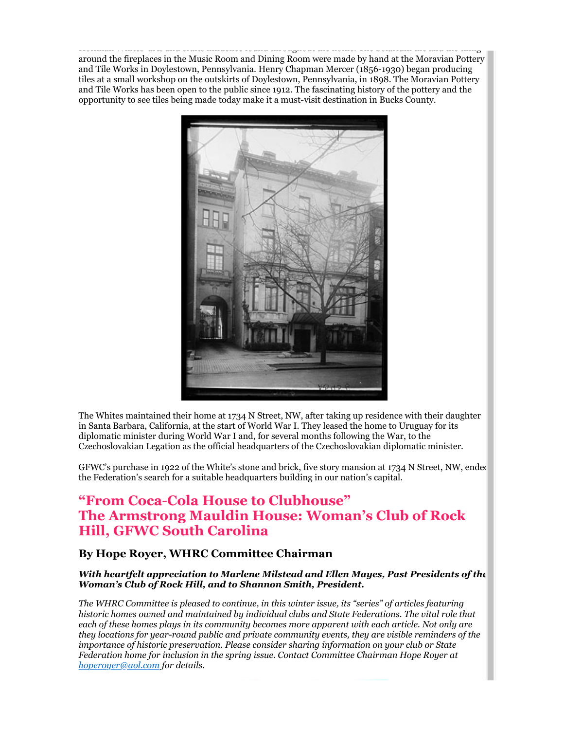Hoffman Whites' arts and crafts influence found throughout the home. The Solarium tile and the tiling around the fireplaces in the Music Room and Dining Room were made by hand at the Moravian Pottery and Tile Works in Doylestown, Pennsylvania. Henry Chapman Mercer (1856-1930) began producing tiles at a small workshop on the outskirts of Doylestown, Pennsylvania, in 1898. The Moravian Pottery and Tile Works has been open to the public since 1912. The fascinating history of the pottery and the opportunity to see tiles being made today make it a must-visit destination in Bucks County.



The Whites maintained their home at 1734 N Street, NW, after taking up residence with their daughter in Santa Barbara, California, at the start of World War I. They leased the home to Uruguay for its diplomatic minister during World War I and, for several months following the War, to the Czechoslovakian Legation as the official headquarters of the Czechoslovakian diplomatic minister.

GFWC's purchase in 1922 of the White's stone and brick, five story mansion at 1734 N Street, NW, ended the Federation's search for a suitable headquarters building in our nation's capital.

## **"From Coca-Cola House to Clubhouse" The Armstrong Mauldin House: Woman's Club of Rock Hill, GFWC South Carolina**

### **By Hope Royer, WHRC Committee Chairman**

#### *With heartfelt appreciation to Marlene Milstead and Ellen Mayes, Past Presidents of the Woman's Club of Rock Hill, and to Shannon Smith, President.*

*The WHRC Committee is pleased to continue, in this winter issue, its "series" of articles featuring historic homes owned and maintained by individual clubs and State Federations. The vital role that each of these homes plays in its community becomes more apparent with each article. Not only are they locations for year-round public and private community events, they are visible reminders of the importance of historic preservation. Please consider sharing information on your club or State Federation home for inclusion in the spring issue. Contact Committee Chairman Hope Royer at [hoperoyer@aol.com](mailto:hoperoyer@aol.com) for details.*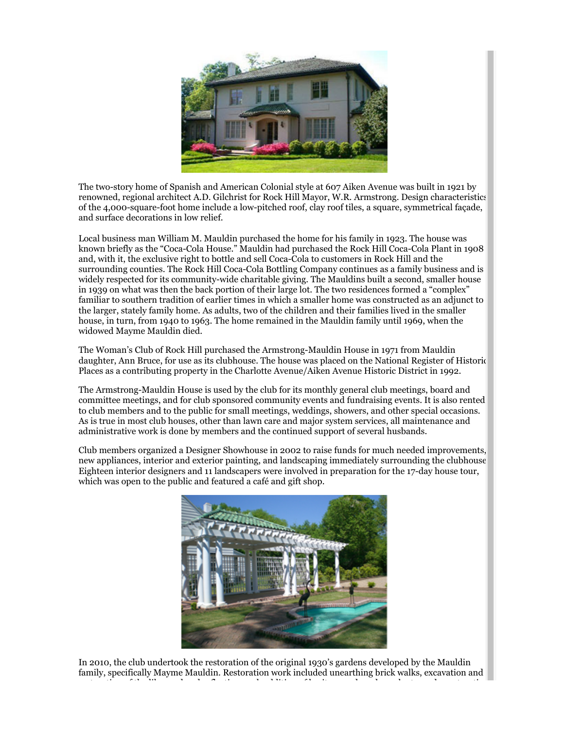

The two-story home of Spanish and American Colonial style at 607 Aiken Avenue was built in 1921 by renowned, regional architect A.D. Gilchrist for Rock Hill Mayor, W.R. Armstrong. Design characteristics of the 4,000-square-foot home include a low-pitched roof, clay roof tiles, a square, symmetrical façade, and surface decorations in low relief.

Local business man William M. Mauldin purchased the home for his family in 1923. The house was known briefly as the "Coca-Cola House." Mauldin had purchased the Rock Hill Coca-Cola Plant in 1908 and, with it, the exclusive right to bottle and sell Coca-Cola to customers in Rock Hill and the surrounding counties. The Rock Hill Coca-Cola Bottling Company continues as a family business and is widely respected for its community-wide charitable giving. The Mauldins built a second, smaller house in 1939 on what was then the back portion of their large lot. The two residences formed a "complex" familiar to southern tradition of earlier times in which a smaller home was constructed as an adjunct to the larger, stately family home. As adults, two of the children and their families lived in the smaller house, in turn, from 1940 to 1963. The home remained in the Mauldin family until 1969, when the widowed Mayme Mauldin died.

The Woman's Club of Rock Hill purchased the Armstrong-Mauldin House in 1971 from Mauldin daughter, Ann Bruce, for use as its clubhouse. The house was placed on the National Register of Historic Places as a contributing property in the Charlotte Avenue/Aiken Avenue Historic District in 1992.

The Armstrong-Mauldin House is used by the club for its monthly general club meetings, board and committee meetings, and for club sponsored community events and fundraising events. It is also rented to club members and to the public for small meetings, weddings, showers, and other special occasions. As is true in most club houses, other than lawn care and major system services, all maintenance and administrative work is done by members and the continued support of several husbands.

Club members organized a Designer Showhouse in 2002 to raise funds for much needed improvements, new appliances, interior and exterior painting, and landscaping immediately surrounding the clubhouse. Eighteen interior designers and 11 landscapers were involved in preparation for the 17-day house tour, which was open to the public and featured a café and gift shop.



In 2010, the club undertook the restoration of the original 1930's gardens developed by the Mauldin family, specifically Mayme Mauldin. Restoration work included unearthing brick walks, excavation and restoration of the lily pond and reflecting pool, addition of heritage and modern plants, and construction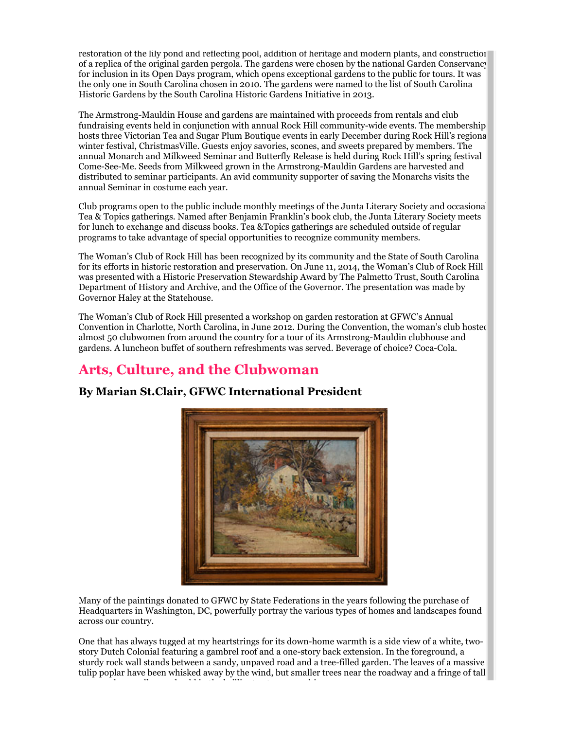restoration of the lily pond and reflecting pool, addition of heritage and modern plants, and construction of a replica of the original garden pergola. The gardens were chosen by the national Garden Conservancy for inclusion in its Open Days program, which opens exceptional gardens to the public for tours. It was the only one in South Carolina chosen in 2010. The gardens were named to the list of South Carolina Historic Gardens by the South Carolina Historic Gardens Initiative in 2013.

The Armstrong-Mauldin House and gardens are maintained with proceeds from rentals and club fundraising events held in conjunction with annual Rock Hill community-wide events. The membership hosts three Victorian Tea and Sugar Plum Boutique events in early December during Rock Hill's regional winter festival, ChristmasVille. Guests enjoy savories, scones, and sweets prepared by members. The annual Monarch and Milkweed Seminar and Butterfly Release is held during Rock Hill's spring festival Come-See-Me. Seeds from Milkweed grown in the Armstrong-Mauldin Gardens are harvested and distributed to seminar participants. An avid community supporter of saving the Monarchs visits the annual Seminar in costume each year.

Club programs open to the public include monthly meetings of the Junta Literary Society and occasional Tea & Topics gatherings. Named after Benjamin Franklin's book club, the Junta Literary Society meets for lunch to exchange and discuss books. Tea &Topics gatherings are scheduled outside of regular programs to take advantage of special opportunities to recognize community members.

The Woman's Club of Rock Hill has been recognized by its community and the State of South Carolina for its efforts in historic restoration and preservation. On June 11, 2014, the Woman's Club of Rock Hill was presented with a Historic Preservation Stewardship Award by The Palmetto Trust, South Carolina Department of History and Archive, and the Office of the Governor. The presentation was made by Governor Haley at the Statehouse.

The Woman's Club of Rock Hill presented a workshop on garden restoration at GFWC's Annual Convention in Charlotte, North Carolina, in June 2012. During the Convention, the woman's club hosted almost 50 clubwomen from around the country for a tour of its Armstrong-Mauldin clubhouse and gardens. A luncheon buffet of southern refreshments was served. Beverage of choice? Coca-Cola.

# **Arts, Culture, and the Clubwoman**



## **By Marian St.Clair, GFWC International President**

Many of the paintings donated to GFWC by State Federations in the years following the purchase of Headquarters in Washington, DC, powerfully portray the various types of homes and landscapes found across our country.

One that has always tugged at my heartstrings for its down-home warmth is a side view of a white, twostory Dutch Colonial featuring a gambrel roof and a one-story back extension. In the foreground, a sturdy rock wall stands between a sandy, unpaved road and a tree-filled garden. The leaves of a massive tulip poplar have been whisked away by the wind, but smaller trees near the roadway and a fringe of tall grasses gleam yellow and gold in the brilliant autumn sunshine.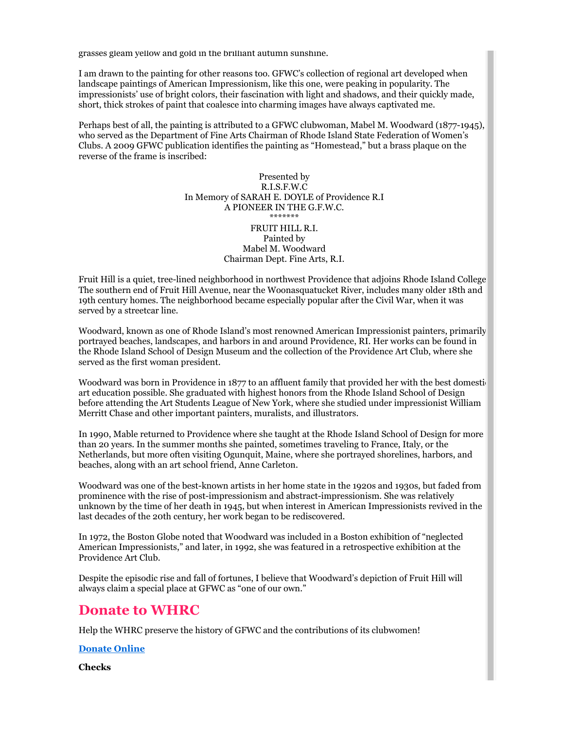grasses gleam yellow and gold in the brilliant autumn sunshine.

I am drawn to the painting for other reasons too. GFWC's collection of regional art developed when landscape paintings of American Impressionism, like this one, were peaking in popularity. The impressionists' use of bright colors, their fascination with light and shadows, and their quickly made, short, thick strokes of paint that coalesce into charming images have always captivated me.

Perhaps best of all, the painting is attributed to a GFWC clubwoman, Mabel M. Woodward (1877-1945), who served as the Department of Fine Arts Chairman of Rhode Island State Federation of Women's Clubs. A 2009 GFWC publication identifies the painting as "Homestead," but a brass plaque on the reverse of the frame is inscribed:

> Presented by R.I.S.F.W.C In Memory of SARAH E. DOYLE of Providence R.I A PIONEER IN THE G.F.W.C. \*\*\*\*\*\*\* FRUIT HILL R.I. Painted by Mabel M. Woodward Chairman Dept. Fine Arts, R.I.

Fruit Hill is a quiet, tree-lined neighborhood in northwest Providence that adjoins Rhode Island College. The southern end of Fruit Hill Avenue, near the Woonasquatucket River, includes many older 18th and 19th century homes. The neighborhood became especially popular after the Civil War, when it was served by a streetcar line.

Woodward, known as one of Rhode Island's most renowned American Impressionist painters, primarily portrayed beaches, landscapes, and harbors in and around Providence, RI. Her works can be found in the Rhode Island School of Design Museum and the collection of the Providence Art Club, where she served as the first woman president.

Woodward was born in Providence in 1877 to an affluent family that provided her with the best domestic art education possible. She graduated with highest honors from the Rhode Island School of Design before attending the Art Students League of New York, where she studied under impressionist William Merritt Chase and other important painters, muralists, and illustrators.

In 1990, Mable returned to Providence where she taught at the Rhode Island School of Design for more than 20 years. In the summer months she painted, sometimes traveling to France, Italy, or the Netherlands, but more often visiting Ogunquit, Maine, where she portrayed shorelines, harbors, and beaches, along with an art school friend, Anne Carleton.

Woodward was one of the best-known artists in her home state in the 1920s and 1930s, but faded from prominence with the rise of post-impressionism and abstract-impressionism. She was relatively unknown by the time of her death in 1945, but when interest in American Impressionists revived in the last decades of the 20th century, her work began to be rediscovered.

In 1972, the Boston Globe noted that Woodward was included in a Boston exhibition of "neglected American Impressionists," and later, in 1992, she was featured in a retrospective exhibition at the Providence Art Club.

Despite the episodic rise and fall of fortunes, I believe that Woodward's depiction of Fruit Hill will always claim a special place at GFWC as "one of our own."

## **Donate to WHRC**

Help the WHRC preserve the history of GFWC and the contributions of its clubwomen!

#### **[Donate Online](http://emaillinks.membersuite.com/ls/click?upn=4j6CqcXZ3KtqCvic2Wh9CbqwJOQlYU-2FniQjbx73nnZsUGFxlLCC6cl36GTKKC8kszg2PGCq5l3TEDoQ4MlTyBQ-3D-3D7wJF_sDhmyR84dHQfH2yP7DuCF8KfZ7dnGfJHnxd0ocGQIqM5oY1bV7SEtR4Mmci52exyOgpHXyO-2FNq0lFov9KfJMInZW5scLatLTehgTadYQ0XZPdHnULra8C-2Fip3qRLx1jOYsyELeIlcO-2B2fUTXosnIMIDTgnTyGO-2F03hpoClgNqU5OGaOM-2FBDKORQ368ZYwrMvI3XWrCxUqTj3a4lITq0QLwdcOyrqQRb-2F2HgbWLoDxYiA-2FdSK0yBjq01ku1RU2DE4-2FV1dXiSuxu3Gd4cRpazk7-2Bws3y9-2Bby8Mh3nU71Ycbr9AE-2Fn1nIH5alk3P6pVjKfA-2BPBupYrn78AUIX6f8cRT5jbRXUnPdgsvymPXcIJg1EyR1gwel3m7aFRaPxh-2BFaip9BHqGbHER-2BPzNU-2BKhm2r7xYcSOqIeJ59fYsKn6kgM0tuuZvbeKZ58rWMJbUtQB8ZsnWsFL5-2BbZH-2FKGffHovP8zLG41b3W5xI2-2FABhgrdcDvN1duFBL9QyJ7Z4IElUmNh5MYwl4ob90kh8-2FB2UlEoZvGgP9DJ0-2Fz8RrkY3RwmJ3wh4ikGRcOFcCmoe4x8EBUCVDm2fl1tbU3eBCosG9ZEE4OCflDCJ73IziZJnDY0m5xLs-2FvKnV4rlC4QId5eJoxYCtXoaNckesKPaLX-2BRB8ncdllrKlDcV1pWXyw3FBXtqw-3D)**

**Checks**